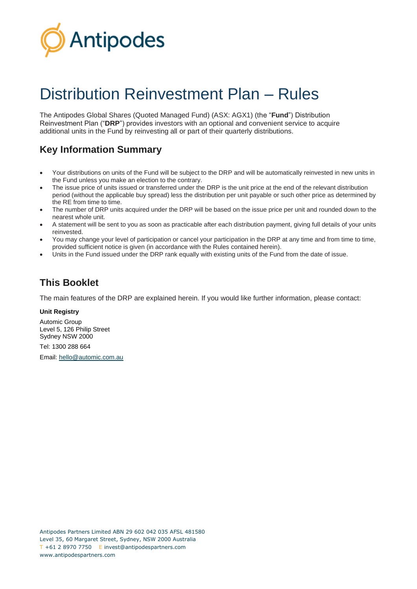

# Distribution Reinvestment Plan – Rules

The Antipodes Global Shares (Quoted Managed Fund) (ASX: AGX1) (the "**Fund**") Distribution Reinvestment Plan ("**DRP**") provides investors with an optional and convenient service to acquire additional units in the Fund by reinvesting all or part of their quarterly distributions.

## **Key Information Summary**

- Your distributions on units of the Fund will be subject to the DRP and will be automatically reinvested in new units in the Fund unless you make an election to the contrary.
- The issue price of units issued or transferred under the DRP is the unit price at the end of the relevant distribution period (without the applicable buy spread) less the distribution per unit payable or such other price as determined by the RE from time to time.
- The number of DRP units acquired under the DRP will be based on the issue price per unit and rounded down to the nearest whole unit.
- A statement will be sent to you as soon as practicable after each distribution payment, giving full details of your units reinvested.
- You may change your level of participation or cancel your participation in the DRP at any time and from time to time, provided sufficient notice is given (in accordance with the Rules contained herein).
- Units in the Fund issued under the DRP rank equally with existing units of the Fund from the date of issue.

### **This Booklet**

The main features of the DRP are explained herein. If you would like further information, please contact:

#### **Unit Registry**

Automic Group Level 5, 126 Philip Street Sydney NSW 2000 Tel: 1300 288 664 Email: [hello@automic.com.au](mailto:hello@automic.com.au)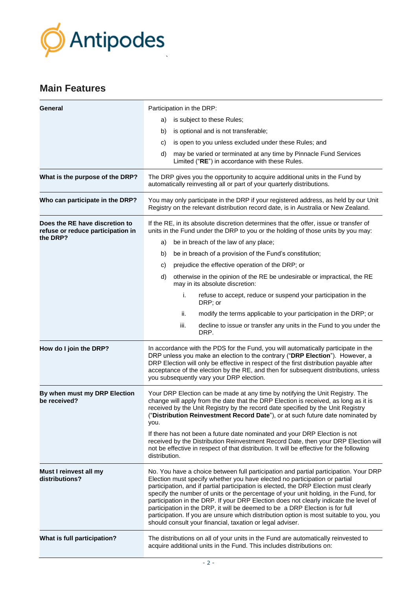

### **Main Features**

| General                                                             | Participation in the DRP:                                                                                                                                                                                                                                                                                                                                                                                                                                                                                                                                                                                                                                                            |  |
|---------------------------------------------------------------------|--------------------------------------------------------------------------------------------------------------------------------------------------------------------------------------------------------------------------------------------------------------------------------------------------------------------------------------------------------------------------------------------------------------------------------------------------------------------------------------------------------------------------------------------------------------------------------------------------------------------------------------------------------------------------------------|--|
|                                                                     | is subject to these Rules;<br>a)                                                                                                                                                                                                                                                                                                                                                                                                                                                                                                                                                                                                                                                     |  |
|                                                                     | is optional and is not transferable;<br>b)                                                                                                                                                                                                                                                                                                                                                                                                                                                                                                                                                                                                                                           |  |
|                                                                     | is open to you unless excluded under these Rules; and<br>C)                                                                                                                                                                                                                                                                                                                                                                                                                                                                                                                                                                                                                          |  |
|                                                                     | may be varied or terminated at any time by Pinnacle Fund Services<br>d)<br>Limited ("RE") in accordance with these Rules.                                                                                                                                                                                                                                                                                                                                                                                                                                                                                                                                                            |  |
| What is the purpose of the DRP?                                     | The DRP gives you the opportunity to acquire additional units in the Fund by<br>automatically reinvesting all or part of your quarterly distributions.                                                                                                                                                                                                                                                                                                                                                                                                                                                                                                                               |  |
| Who can participate in the DRP?                                     | You may only participate in the DRP if your registered address, as held by our Unit<br>Registry on the relevant distribution record date, is in Australia or New Zealand.                                                                                                                                                                                                                                                                                                                                                                                                                                                                                                            |  |
| Does the RE have discretion to<br>refuse or reduce participation in | If the RE, in its absolute discretion determines that the offer, issue or transfer of<br>units in the Fund under the DRP to you or the holding of those units by you may:                                                                                                                                                                                                                                                                                                                                                                                                                                                                                                            |  |
| the DRP?                                                            | be in breach of the law of any place;<br>a)                                                                                                                                                                                                                                                                                                                                                                                                                                                                                                                                                                                                                                          |  |
|                                                                     | be in breach of a provision of the Fund's constitution;<br>b)                                                                                                                                                                                                                                                                                                                                                                                                                                                                                                                                                                                                                        |  |
|                                                                     | prejudice the effective operation of the DRP; or<br>C)                                                                                                                                                                                                                                                                                                                                                                                                                                                                                                                                                                                                                               |  |
|                                                                     | otherwise in the opinion of the RE be undesirable or impractical, the RE<br>d)<br>may in its absolute discretion:                                                                                                                                                                                                                                                                                                                                                                                                                                                                                                                                                                    |  |
|                                                                     | i.<br>refuse to accept, reduce or suspend your participation in the<br>DRP; or                                                                                                                                                                                                                                                                                                                                                                                                                                                                                                                                                                                                       |  |
|                                                                     | ii.<br>modify the terms applicable to your participation in the DRP; or                                                                                                                                                                                                                                                                                                                                                                                                                                                                                                                                                                                                              |  |
|                                                                     | iii.<br>decline to issue or transfer any units in the Fund to you under the<br>DRP.                                                                                                                                                                                                                                                                                                                                                                                                                                                                                                                                                                                                  |  |
| How do I join the DRP?                                              | In accordance with the PDS for the Fund, you will automatically participate in the<br>DRP unless you make an election to the contrary ("DRP Election"). However, a<br>DRP Election will only be effective in respect of the first distribution payable after<br>acceptance of the election by the RE, and then for subsequent distributions, unless<br>you subsequently vary your DRP election.                                                                                                                                                                                                                                                                                      |  |
| By when must my DRP Election<br>be received?                        | Your DRP Election can be made at any time by notifying the Unit Registry. The<br>change will apply from the date that the DRP Election is received, as long as it is<br>received by the Unit Registry by the record date specified by the Unit Registry<br>("Distribution Reinvestment Record Date"), or at such future date nominated by<br>you.                                                                                                                                                                                                                                                                                                                                    |  |
|                                                                     | If there has not been a future date nominated and your DRP Election is not<br>received by the Distribution Reinvestment Record Date, then your DRP Election will<br>not be effective in respect of that distribution. It will be effective for the following<br>distribution.                                                                                                                                                                                                                                                                                                                                                                                                        |  |
| Must I reinvest all my<br>distributions?                            | No. You have a choice between full participation and partial participation. Your DRP<br>Election must specify whether you have elected no participation or partial<br>participation, and if partial participation is elected, the DRP Election must clearly<br>specify the number of units or the percentage of your unit holding, in the Fund, for<br>participation in the DRP. If your DRP Election does not clearly indicate the level of<br>participation in the DRP, it will be deemed to be a DRP Election is for full<br>participation. If you are unsure which distribution option is most suitable to you, you<br>should consult your financial, taxation or legal adviser. |  |
| What is full participation?                                         | The distributions on all of your units in the Fund are automatically reinvested to<br>acquire additional units in the Fund. This includes distributions on:                                                                                                                                                                                                                                                                                                                                                                                                                                                                                                                          |  |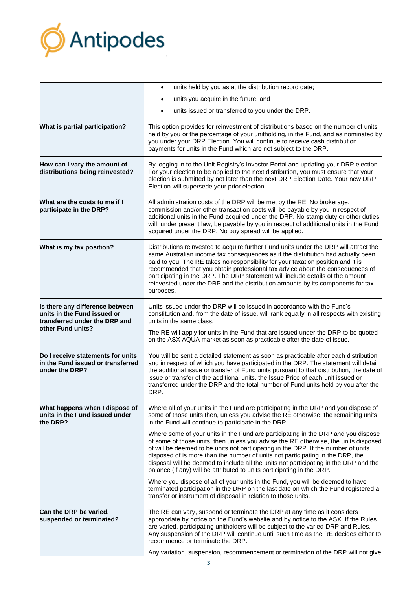

|                                                                                                                      | units held by you as at the distribution record date;<br>$\bullet$                                                                                                                                                                                                                                                                                                                                                                                                                                                               |  |
|----------------------------------------------------------------------------------------------------------------------|----------------------------------------------------------------------------------------------------------------------------------------------------------------------------------------------------------------------------------------------------------------------------------------------------------------------------------------------------------------------------------------------------------------------------------------------------------------------------------------------------------------------------------|--|
|                                                                                                                      | units you acquire in the future; and                                                                                                                                                                                                                                                                                                                                                                                                                                                                                             |  |
|                                                                                                                      | units issued or transferred to you under the DRP.                                                                                                                                                                                                                                                                                                                                                                                                                                                                                |  |
| What is partial participation?                                                                                       | This option provides for reinvestment of distributions based on the number of units<br>held by you or the percentage of your unitholding, in the Fund, and as nominated by<br>you under your DRP Election. You will continue to receive cash distribution<br>payments for units in the Fund which are not subject to the DRP.                                                                                                                                                                                                    |  |
| How can I vary the amount of<br>distributions being reinvested?                                                      | By logging in to the Unit Registry's Investor Portal and updating your DRP election.<br>For your election to be applied to the next distribution, you must ensure that your<br>election is submitted by not later than the next DRP Election Date. Your new DRP<br>Election will supersede your prior election.                                                                                                                                                                                                                  |  |
| What are the costs to me if I<br>participate in the DRP?                                                             | All administration costs of the DRP will be met by the RE. No brokerage,<br>commission and/or other transaction costs will be payable by you in respect of<br>additional units in the Fund acquired under the DRP. No stamp duty or other duties<br>will, under present law, be payable by you in respect of additional units in the Fund<br>acquired under the DRP. No buy spread will be applied.                                                                                                                              |  |
| What is my tax position?                                                                                             | Distributions reinvested to acquire further Fund units under the DRP will attract the<br>same Australian income tax consequences as if the distribution had actually been<br>paid to you. The RE takes no responsibility for your taxation position and it is<br>recommended that you obtain professional tax advice about the consequences of<br>participating in the DRP. The DRP statement will include details of the amount<br>reinvested under the DRP and the distribution amounts by its components for tax<br>purposes. |  |
| Is there any difference between<br>units in the Fund issued or<br>transferred under the DRP and<br>other Fund units? | Units issued under the DRP will be issued in accordance with the Fund's<br>constitution and, from the date of issue, will rank equally in all respects with existing<br>units in the same class.                                                                                                                                                                                                                                                                                                                                 |  |
|                                                                                                                      | The RE will apply for units in the Fund that are issued under the DRP to be quoted<br>on the ASX AQUA market as soon as practicable after the date of issue.                                                                                                                                                                                                                                                                                                                                                                     |  |
| Do I receive statements for units<br>in the Fund issued or transferred<br>under the DRP?                             | You will be sent a detailed statement as soon as practicable after each distribution<br>and in respect of which you have participated in the DRP. The statement will detail<br>the additional issue or transfer of Fund units pursuant to that distribution, the date of<br>issue or transfer of the additional units, the Issue Price of each unit issued or<br>transferred under the DRP and the total number of Fund units held by you after the<br>DRP.                                                                      |  |
| What happens when I dispose of<br>units in the Fund issued under<br>the DRP?                                         | Where all of your units in the Fund are participating in the DRP and you dispose of<br>some of those units then, unless you advise the RE otherwise, the remaining units<br>in the Fund will continue to participate in the DRP.                                                                                                                                                                                                                                                                                                 |  |
|                                                                                                                      | Where some of your units in the Fund are participating in the DRP and you dispose<br>of some of those units, then unless you advise the RE otherwise, the units disposed<br>of will be deemed to be units not participating in the DRP. If the number of units<br>disposed of is more than the number of units not participating in the DRP, the<br>disposal will be deemed to include all the units not participating in the DRP and the<br>balance (if any) will be attributed to units participating in the DRP.              |  |
|                                                                                                                      | Where you dispose of all of your units in the Fund, you will be deemed to have<br>terminated participation in the DRP on the last date on which the Fund registered a<br>transfer or instrument of disposal in relation to those units.                                                                                                                                                                                                                                                                                          |  |
| Can the DRP be varied,<br>suspended or terminated?                                                                   | The RE can vary, suspend or terminate the DRP at any time as it considers<br>appropriate by notice on the Fund's website and by notice to the ASX. If the Rules<br>are varied, participating unitholders will be subject to the varied DRP and Rules.<br>Any suspension of the DRP will continue until such time as the RE decides either to<br>recommence or terminate the DRP.                                                                                                                                                 |  |
|                                                                                                                      | Any variation, suspension, recommencement or termination of the DRP will not give                                                                                                                                                                                                                                                                                                                                                                                                                                                |  |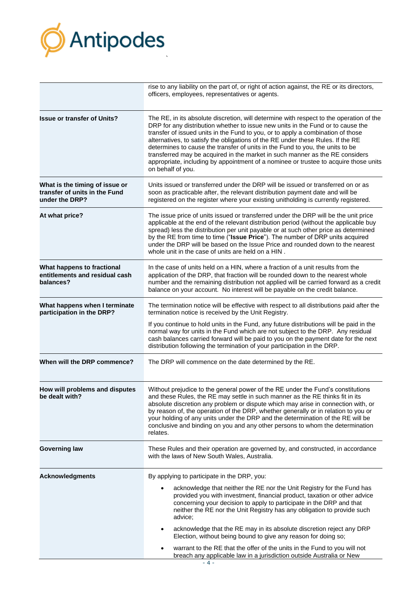

|                                                                                   | rise to any liability on the part of, or right of action against, the RE or its directors,<br>officers, employees, representatives or agents.                                                                                                                                                                                                                                                                                                                                                                                                                                                                                  |  |
|-----------------------------------------------------------------------------------|--------------------------------------------------------------------------------------------------------------------------------------------------------------------------------------------------------------------------------------------------------------------------------------------------------------------------------------------------------------------------------------------------------------------------------------------------------------------------------------------------------------------------------------------------------------------------------------------------------------------------------|--|
| <b>Issue or transfer of Units?</b>                                                | The RE, in its absolute discretion, will determine with respect to the operation of the<br>DRP for any distribution whether to issue new units in the Fund or to cause the<br>transfer of issued units in the Fund to you, or to apply a combination of those<br>alternatives, to satisfy the obligations of the RE under these Rules. If the RE<br>determines to cause the transfer of units in the Fund to you, the units to be<br>transferred may be acquired in the market in such manner as the RE considers<br>appropriate, including by appointment of a nominee or trustee to acquire those units<br>on behalf of you. |  |
| What is the timing of issue or<br>transfer of units in the Fund<br>under the DRP? | Units issued or transferred under the DRP will be issued or transferred on or as<br>soon as practicable after, the relevant distribution payment date and will be<br>registered on the register where your existing unitholding is currently registered.                                                                                                                                                                                                                                                                                                                                                                       |  |
| At what price?                                                                    | The issue price of units issued or transferred under the DRP will be the unit price<br>applicable at the end of the relevant distribution period (without the applicable buy<br>spread) less the distribution per unit payable or at such other price as determined<br>by the RE from time to time ("Issue Price"). The number of DRP units acquired<br>under the DRP will be based on the Issue Price and rounded down to the nearest<br>whole unit in the case of units are held on a HIN.                                                                                                                                   |  |
| What happens to fractional<br>entitlements and residual cash<br>balances?         | In the case of units held on a HIN, where a fraction of a unit results from the<br>application of the DRP, that fraction will be rounded down to the nearest whole<br>number and the remaining distribution not applied will be carried forward as a credit<br>balance on your account. No interest will be payable on the credit balance.                                                                                                                                                                                                                                                                                     |  |
| What happens when I terminate<br>participation in the DRP?                        | The termination notice will be effective with respect to all distributions paid after the<br>termination notice is received by the Unit Registry.                                                                                                                                                                                                                                                                                                                                                                                                                                                                              |  |
|                                                                                   | If you continue to hold units in the Fund, any future distributions will be paid in the<br>normal way for units in the Fund which are not subject to the DRP. Any residual<br>cash balances carried forward will be paid to you on the payment date for the next<br>distribution following the termination of your participation in the DRP.                                                                                                                                                                                                                                                                                   |  |
| When will the DRP commence?                                                       | The DRP will commence on the date determined by the RE.                                                                                                                                                                                                                                                                                                                                                                                                                                                                                                                                                                        |  |
| How will problems and disputes<br>be dealt with?                                  | Without prejudice to the general power of the RE under the Fund's constitutions<br>and these Rules, the RE may settle in such manner as the RE thinks fit in its<br>absolute discretion any problem or dispute which may arise in connection with, or<br>by reason of, the operation of the DRP, whether generally or in relation to you or<br>your holding of any units under the DRP and the determination of the RE will be<br>conclusive and binding on you and any other persons to whom the determination<br>relates.                                                                                                    |  |
| <b>Governing law</b>                                                              | These Rules and their operation are governed by, and constructed, in accordance<br>with the laws of New South Wales, Australia.                                                                                                                                                                                                                                                                                                                                                                                                                                                                                                |  |
| <b>Acknowledgments</b>                                                            | By applying to participate in the DRP, you:                                                                                                                                                                                                                                                                                                                                                                                                                                                                                                                                                                                    |  |
|                                                                                   | acknowledge that neither the RE nor the Unit Registry for the Fund has<br>provided you with investment, financial product, taxation or other advice<br>concerning your decision to apply to participate in the DRP and that<br>neither the RE nor the Unit Registry has any obligation to provide such<br>advice;                                                                                                                                                                                                                                                                                                              |  |
|                                                                                   | acknowledge that the RE may in its absolute discretion reject any DRP<br>$\bullet$<br>Election, without being bound to give any reason for doing so;                                                                                                                                                                                                                                                                                                                                                                                                                                                                           |  |
|                                                                                   | warrant to the RE that the offer of the units in the Fund to you will not<br>breach any applicable law in a jurisdiction outside Australia or New                                                                                                                                                                                                                                                                                                                                                                                                                                                                              |  |